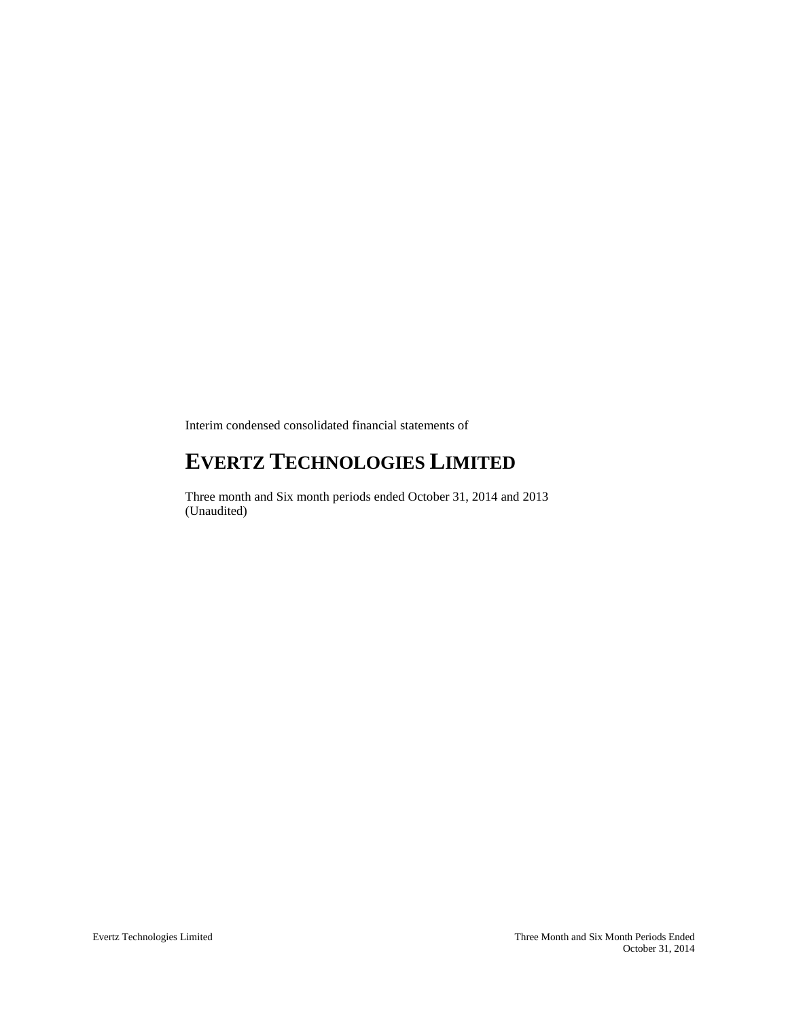Interim condensed consolidated financial statements of

# **EVERTZ TECHNOLOGIES LIMITED**

Three month and Six month periods ended October 31, 2014 and 2013 (Unaudited)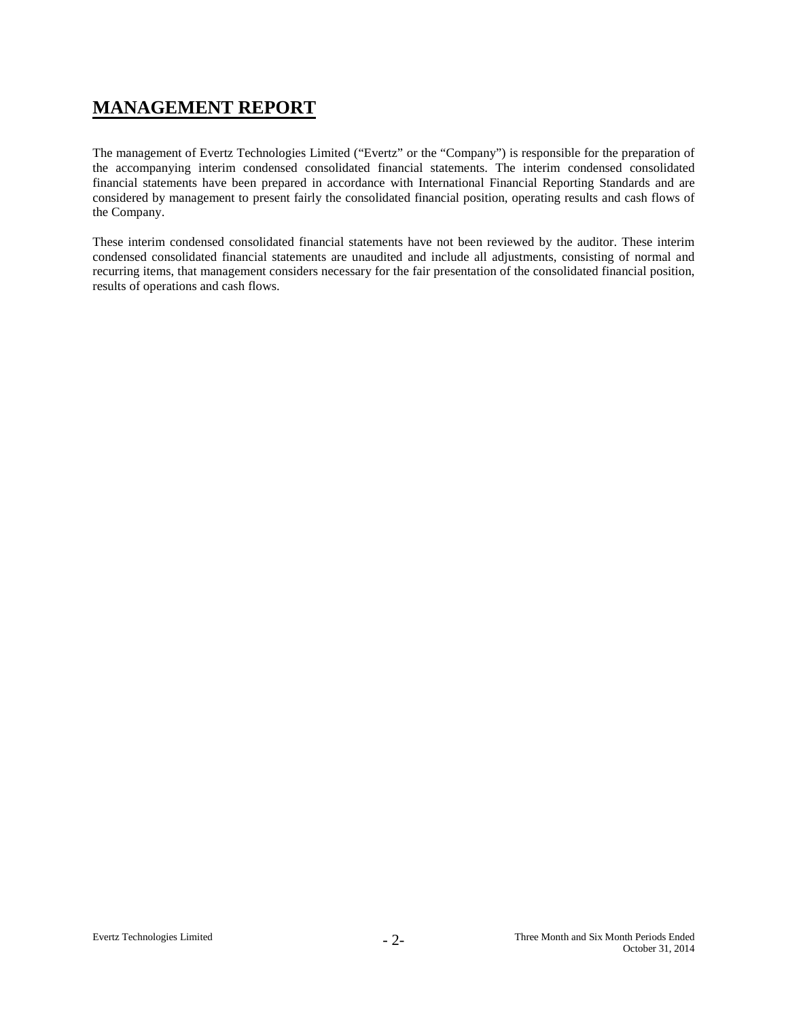## **MANAGEMENT REPORT**

The management of Evertz Technologies Limited ("Evertz" or the "Company") is responsible for the preparation of the accompanying interim condensed consolidated financial statements. The interim condensed consolidated financial statements have been prepared in accordance with International Financial Reporting Standards and are considered by management to present fairly the consolidated financial position, operating results and cash flows of the Company.

These interim condensed consolidated financial statements have not been reviewed by the auditor. These interim condensed consolidated financial statements are unaudited and include all adjustments, consisting of normal and recurring items, that management considers necessary for the fair presentation of the consolidated financial position, results of operations and cash flows.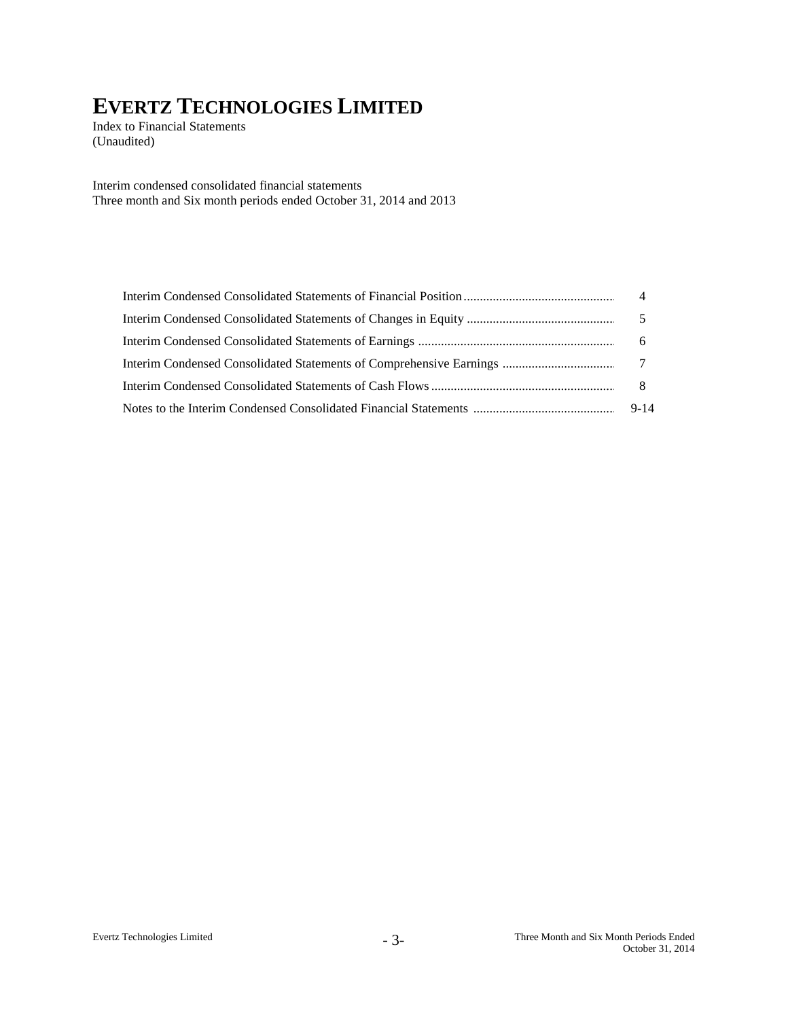Index to Financial Statements (Unaudited)

Interim condensed consolidated financial statements Three month and Six month periods ended October 31, 2014 and 2013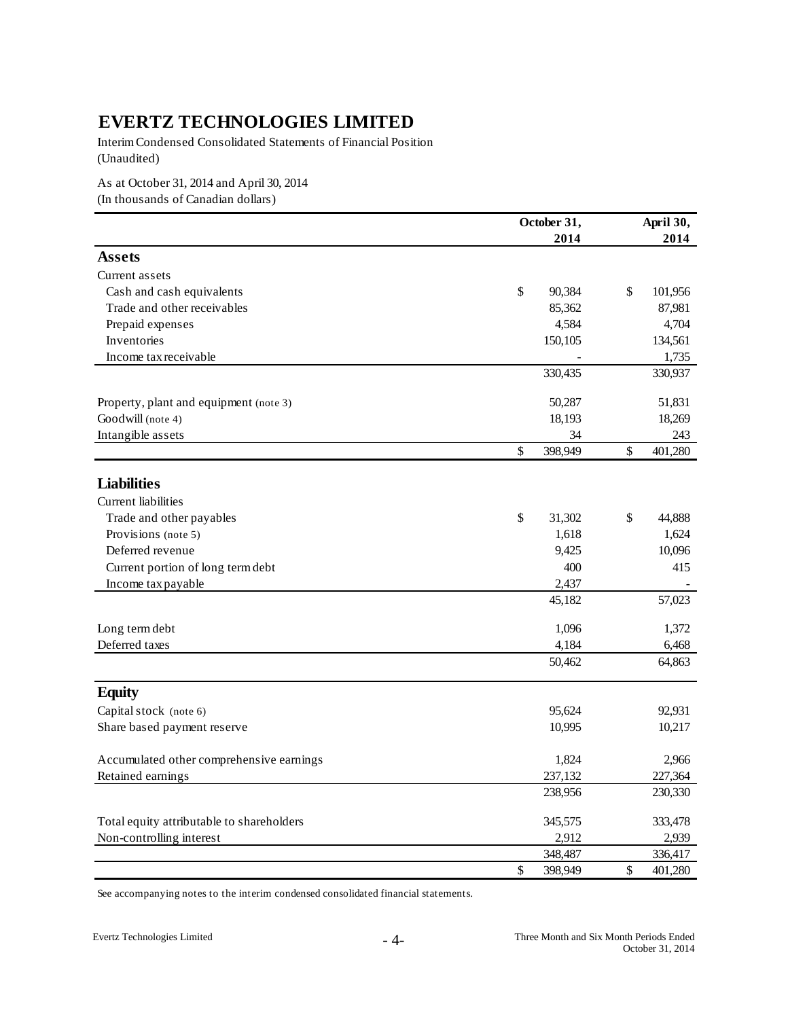Interim Condensed Consolidated Statements of Financial Position (Unaudited)

As at October 31, 2014 and April 30, 2014 (In thousands of Canadian dollars)

|                                           | October 31,   | April 30, |                 |  |
|-------------------------------------------|---------------|-----------|-----------------|--|
|                                           | 2014          |           | 2014            |  |
| <b>Assets</b>                             |               |           |                 |  |
| Current assets                            |               |           |                 |  |
| Cash and cash equivalents                 | \$<br>90,384  | \$        | 101,956         |  |
| Trade and other receivables               | 85,362        |           | 87,981          |  |
| Prepaid expenses                          | 4,584         |           | 4,704           |  |
| Inventories                               | 150,105       |           | 134,561         |  |
| Income tax receivable                     |               |           | 1,735           |  |
|                                           | 330,435       |           | 330,937         |  |
| Property, plant and equipment (note 3)    | 50,287        |           | 51,831          |  |
| Goodwill (note 4)                         | 18,193        |           | 18,269          |  |
| Intangible assets                         | 34            |           | 243             |  |
|                                           | \$<br>398,949 | \$        | 401,280         |  |
| <b>Liabilities</b>                        |               |           |                 |  |
| <b>Current liabilities</b>                |               |           |                 |  |
| Trade and other payables                  | \$<br>31,302  | \$        | 44,888          |  |
| Provisions (note 5)                       | 1,618         |           | 1,624           |  |
| Deferred revenue                          | 9,425         |           | 10,096          |  |
| Current portion of long term debt         | 400           |           | 415             |  |
| Income tax payable                        | 2,437         |           |                 |  |
|                                           | 45,182        |           | 57,023          |  |
|                                           | 1,096         |           | 1,372           |  |
| Long term debt<br>Deferred taxes          | 4,184         |           |                 |  |
|                                           | 50,462        |           | 6,468<br>64,863 |  |
|                                           |               |           |                 |  |
| <b>Equity</b>                             |               |           |                 |  |
| Capital stock (note 6)                    | 95,624        |           | 92,931          |  |
| Share based payment reserve               | 10,995        |           | 10,217          |  |
| Accumulated other comprehensive earnings  | 1,824         |           | 2,966           |  |
| Retained earnings                         | 237,132       |           | 227,364         |  |
|                                           | 238,956       |           | 230,330         |  |
| Total equity attributable to shareholders | 345,575       |           | 333,478         |  |
| Non-controlling interest                  | 2,912         |           | 2,939           |  |
|                                           | 348,487       |           | 336,417         |  |
|                                           | \$<br>398,949 | \$        | 401,280         |  |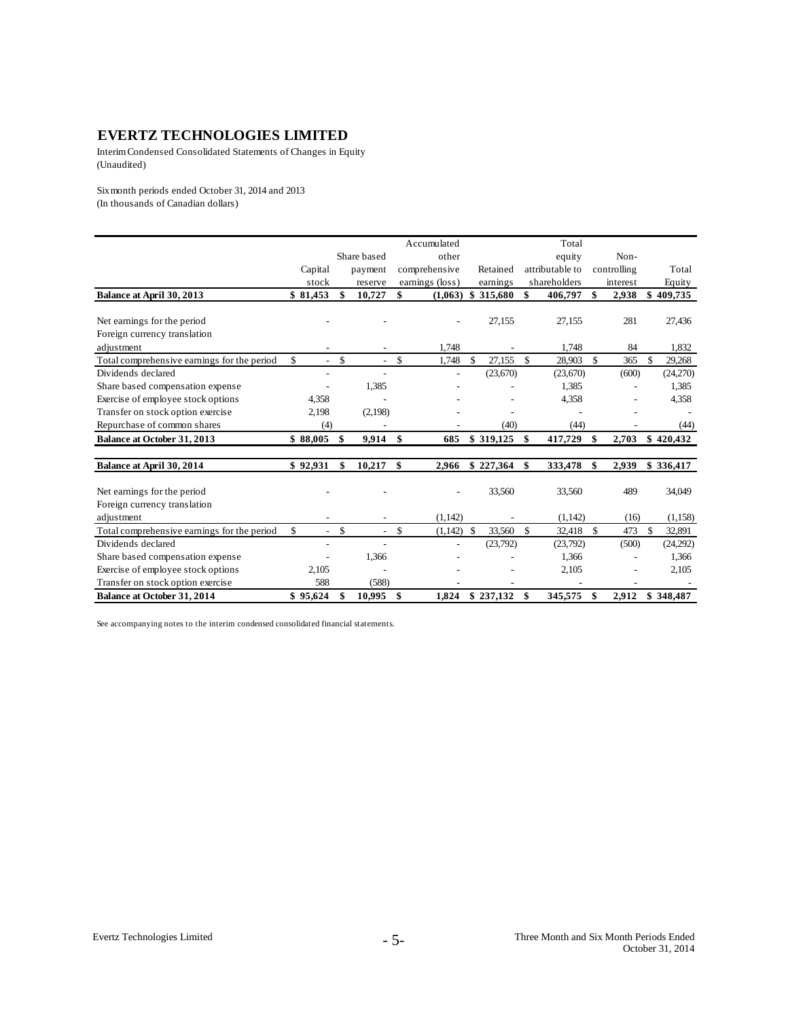Interim Condensed Consolidated Statements of Changes in Equity (Unaudited)

Six month periods ended October 31, 2014 and 2013 (In thousands of Canadian dollars)

|                                             |                                |              |                |             | Accumulated     |               |           |    | Total           |             |               |
|---------------------------------------------|--------------------------------|--------------|----------------|-------------|-----------------|---------------|-----------|----|-----------------|-------------|---------------|
|                                             |                                |              | Share based    |             | other           |               |           |    | equity          | Non-        |               |
|                                             | Capital                        |              | payment        |             | comprehensive   |               | Retained  |    | attributable to | controlling | Total         |
|                                             | stock                          |              | reserve        |             | earnings (loss) |               | earnings  |    | shareholders    | interest    | Equity        |
| Balance at April 30, 2013                   | \$81,453                       | \$           | 10,727         | \$          | (1,063)         | \$            | 315,680   | \$ | 406,797         | \$<br>2,938 | \$<br>409,735 |
|                                             |                                |              |                |             |                 |               |           |    |                 |             |               |
| Net earnings for the period                 |                                |              |                |             |                 |               | 27,155    |    | 27,155          | 281         | 27,436        |
| Foreign currency translation                |                                |              |                |             |                 |               |           |    |                 |             |               |
| adjustment                                  |                                |              |                |             | 1.748           |               |           |    | 1,748           | 84          | 1,832         |
| Total comprehensive earnings for the period | \$<br>$\overline{a}$           | $\mathbb{S}$ |                | \$          | 1,748           | S             | 27,155    | -S | 28,903          | \$<br>365   | \$<br>29,268  |
| Dividends declared                          |                                |              |                |             |                 |               | (23,670)  |    | (23,670)        | (600)       | (24,270)      |
| Share based compensation expense            |                                |              | 1,385          |             |                 |               |           |    | 1,385           |             | 1,385         |
| Exercise of employee stock options          | 4,358                          |              |                |             |                 |               |           |    | 4,358           |             | 4,358         |
| Transfer on stock option exercise           | 2,198                          |              | (2,198)        |             |                 |               |           |    |                 |             |               |
| Repurchase of common shares                 | (4)                            |              |                |             |                 |               | (40)      |    | (44)            |             | (44)          |
| Balance at October 31, 2013                 | \$88,005                       | \$           | 9,914          | \$          | 685             |               | \$319,125 | \$ | 417,729         | \$<br>2,703 | \$420,432     |
| Balance at April 30, 2014                   | \$92,931                       | \$           | 10,217         | \$          | 2,966           |               | \$227,364 | \$ | 333,478         | \$<br>2,939 | \$336,417     |
| Net earnings for the period                 |                                |              |                |             |                 |               | 33,560    |    | 33,560          | 489         | 34,049        |
| Foreign currency translation                |                                |              |                |             |                 |               |           |    |                 |             |               |
| adjustment                                  |                                |              |                |             | (1,142)         |               |           |    | (1,142)         | (16)        | (1, 158)      |
| Total comprehensive earnings for the period | \$<br>$\overline{\phantom{0}}$ | \$           | $\overline{a}$ | $\mathbf S$ | (1,142)         | <sup>\$</sup> | 33,560    | -S | 32,418          | \$<br>473   | \$<br>32,891  |
| Dividends declared                          |                                |              | $\overline{a}$ |             |                 |               | (23,792)  |    | (23,792)        | (500)       | (24,292)      |
| Share based compensation expense            | -                              |              | 1,366          |             |                 |               |           |    | 1,366           |             | 1,366         |
| Exercise of employee stock options          | 2,105                          |              |                |             |                 |               |           |    | 2,105           |             | 2,105         |
| Transfer on stock option exercise           | 588                            |              | (588)          |             |                 |               |           |    |                 |             |               |
| <b>Balance at October 31, 2014</b>          | \$95,624                       | \$           | 10,995         | \$          | 1,824           |               | \$237,132 | \$ | 345,575         | \$<br>2,912 | \$348,487     |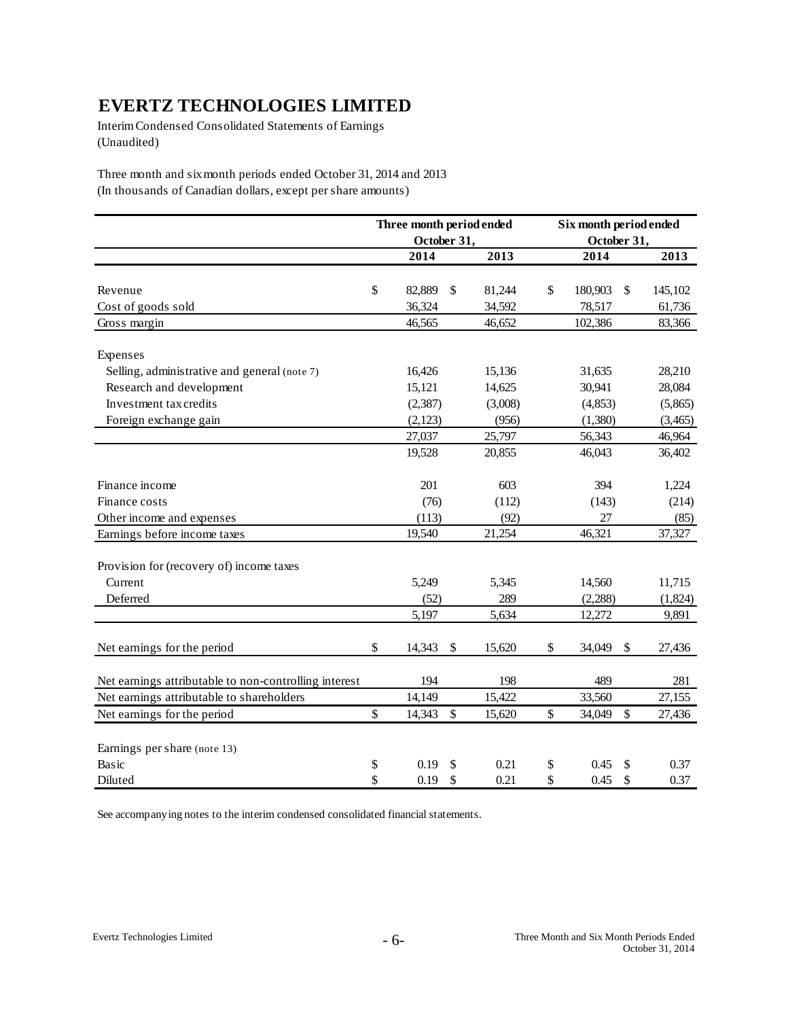Interim Condensed Consolidated Statements of Earnings (Unaudited)

Three month and six month periods ended October 31, 2014 and 2013 (In thousands of Canadian dollars, except per share amounts)

|                                                       | Three month period ended |              | Six month period ended |                           |         |
|-------------------------------------------------------|--------------------------|--------------|------------------------|---------------------------|---------|
|                                                       | October 31,              |              | October 31,            |                           |         |
|                                                       | 2014                     | 2013         | 2014                   |                           | 2013    |
|                                                       |                          |              |                        |                           |         |
| Revenue                                               | \$<br>82,889             | \$<br>81,244 | \$<br>180,903          | \$                        | 145,102 |
| Cost of goods sold                                    | 36,324                   | 34,592       | 78,517                 |                           | 61,736  |
| Gross margin                                          | 46,565                   | 46,652       | 102,386                |                           | 83,366  |
| Expenses                                              |                          |              |                        |                           |         |
| Selling, administrative and general (note 7)          | 16,426                   | 15,136       | 31,635                 |                           | 28,210  |
| Research and development                              | 15,121                   | 14,625       | 30,941                 |                           | 28,084  |
| Investment tax credits                                | (2, 387)                 | (3,008)      | (4, 853)               |                           | (5,865) |
| Foreign exchange gain                                 | (2,123)                  | (956)        | (1,380)                |                           | (3,465) |
|                                                       | 27,037                   | 25,797       | 56,343                 |                           | 46,964  |
|                                                       | 19,528                   | 20,855       | 46,043                 |                           | 36,402  |
| Finance income                                        | 201                      | 603          | 394                    |                           | 1,224   |
| Finance costs                                         | (76)                     | (112)        | (143)                  |                           | (214)   |
| Other income and expenses                             | (113)                    | (92)         | 27                     |                           | (85)    |
| Earnings before income taxes                          | 19,540                   | 21,254       | 46,321                 |                           | 37,327  |
| Provision for (recovery of) income taxes              |                          |              |                        |                           |         |
| Current                                               | 5,249                    | 5,345        | 14,560                 |                           | 11,715  |
| Deferred                                              | (52)                     | 289          | (2,288)                |                           | (1,824) |
|                                                       | 5,197                    | 5,634        | 12,272                 |                           | 9,891   |
| Net earnings for the period                           | \$<br>14,343             | \$<br>15,620 | \$<br>34,049           | \$                        | 27,436  |
| Net earnings attributable to non-controlling interest | 194                      | 198          | 489                    |                           | 281     |
| Net earnings attributable to shareholders             | 14,149                   | 15,422       | 33,560                 |                           | 27,155  |
| Net earnings for the period                           | \$<br>14,343             | \$<br>15,620 | \$<br>34,049           | $\boldsymbol{\mathsf{S}}$ | 27,436  |
| Earnings per share (note 13)                          |                          |              |                        |                           |         |
| Basic                                                 | \$<br>0.19               | \$<br>0.21   | \$<br>0.45             | \$                        | 0.37    |
| Diluted                                               | \$<br>0.19               | \$<br>0.21   | \$<br>0.45             | \$                        | 0.37    |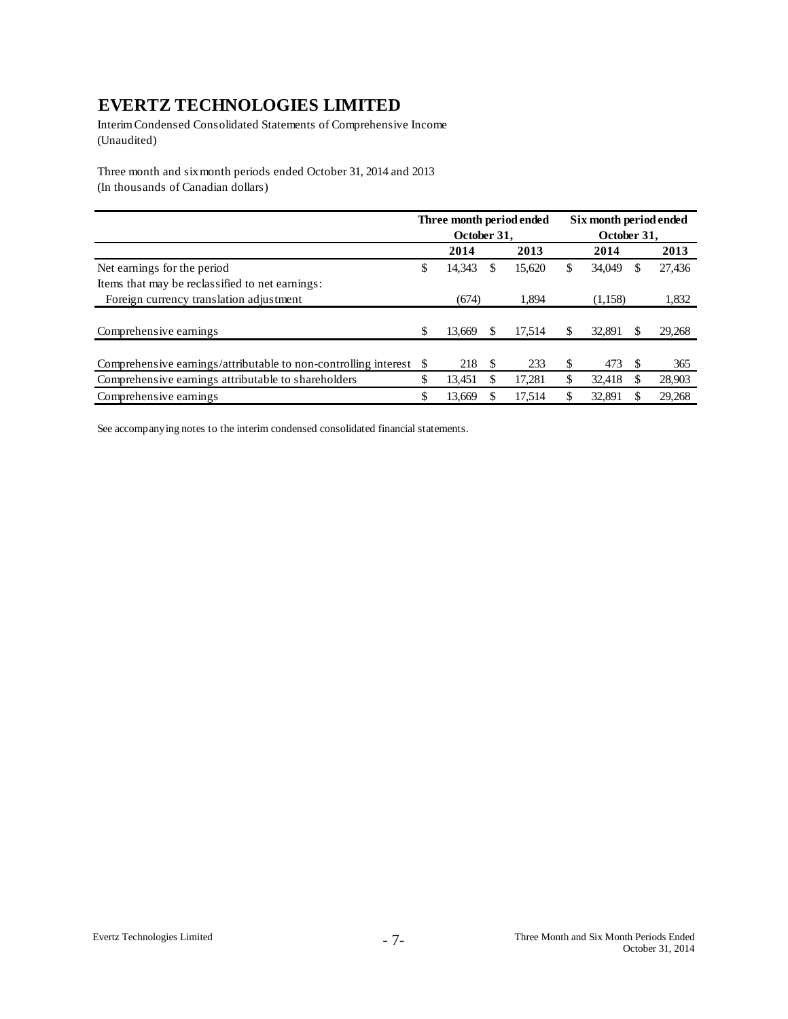Interim Condensed Consolidated Statements of Comprehensive Income (Unaudited)

Three month and six month periods ended October 31, 2014 and 2013 (In thousands of Canadian dollars)

|                                                                    |   | October 31, |     | Three month period ended |    | Six month period ended<br>October 31, |   |        |
|--------------------------------------------------------------------|---|-------------|-----|--------------------------|----|---------------------------------------|---|--------|
|                                                                    |   | 2014        |     | 2013                     |    | 2014                                  |   | 2013   |
| Net earnings for the period                                        | S | 14.343      | S   | 15,620                   | S  | 34,049                                | S | 27,436 |
| Items that may be reclassified to net earnings:                    |   |             |     |                          |    |                                       |   |        |
| Foreign currency translation adjustment                            |   | (674)       |     | 1.894                    |    | (1,158)                               |   | 1,832  |
| Comprehensive earnings                                             | S | 13.669      |     | 17.514                   | S  | 32,891                                | S | 29,268 |
|                                                                    |   |             |     |                          |    |                                       |   |        |
| Comprehensive earnings/attributable to non-controlling interest \$ |   | 218         | \$. | 233                      | S  | 473                                   | S | 365    |
| Comprehensive earnings attributable to shareholders                |   | 13.451      |     | 17.281                   | \$ | 32,418                                | S | 28,903 |
| Comprehensive earnings                                             |   | 13.669      |     | 17,514                   |    | 32.891                                |   | 29,268 |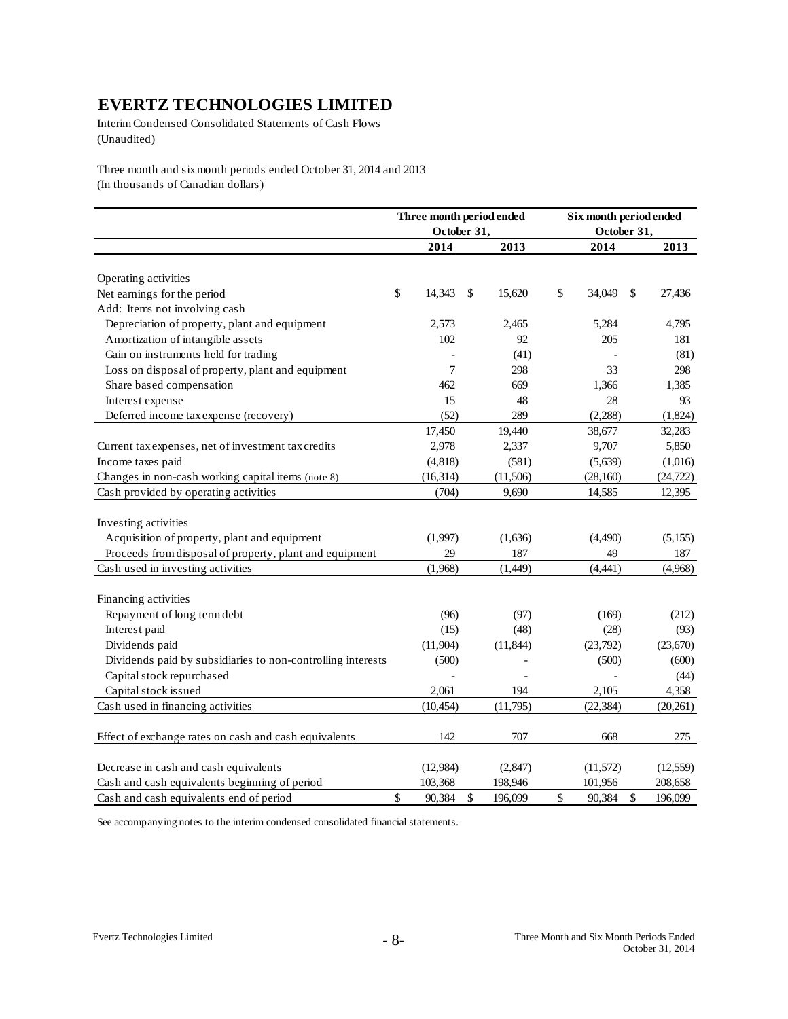Interim Condensed Consolidated Statements of Cash Flows (Unaudited)

Three month and six month periods ended October 31, 2014 and 2013 (In thousands of Canadian dollars)

|                                                             | Three month period ended<br>October 31, |              |           |              | Six month period ended<br>October 31, |           |  |
|-------------------------------------------------------------|-----------------------------------------|--------------|-----------|--------------|---------------------------------------|-----------|--|
|                                                             | 2014                                    |              | 2013      | 2014         |                                       | 2013      |  |
| Operating activities                                        |                                         |              |           |              |                                       |           |  |
| Net earnings for the period                                 | \$<br>14,343                            | \$           | 15,620    | \$<br>34,049 | \$                                    | 27,436    |  |
| Add: Items not involving cash                               |                                         |              |           |              |                                       |           |  |
| Depreciation of property, plant and equipment               | 2,573                                   |              | 2,465     | 5,284        |                                       | 4,795     |  |
| Amortization of intangible assets                           | 102                                     |              | 92        | 205          |                                       | 181       |  |
| Gain on instruments held for trading                        |                                         |              | (41)      |              |                                       | (81)      |  |
| Loss on disposal of property, plant and equipment           | 7                                       |              | 298       | 33           |                                       | 298       |  |
|                                                             | 462                                     |              | 669       | 1,366        |                                       | 1,385     |  |
| Share based compensation                                    | 15                                      |              | 48        | 28           |                                       | 93        |  |
| Interest expense                                            |                                         |              |           |              |                                       |           |  |
| Deferred income tax expense (recovery)                      | (52)                                    |              | 289       | (2, 288)     |                                       | (1,824)   |  |
|                                                             | 17,450                                  |              | 19,440    | 38,677       |                                       | 32,283    |  |
| Current tax expenses, net of investment tax credits         | 2,978                                   |              | 2,337     | 9,707        |                                       | 5,850     |  |
| Income taxes paid                                           | (4, 818)                                |              | (581)     | (5,639)      |                                       | (1,016)   |  |
| Changes in non-cash working capital items (note 8)          | (16, 314)                               |              | (11,506)  | (28, 160)    |                                       | (24, 722) |  |
| Cash provided by operating activities                       | (704)                                   |              | 9,690     | 14,585       |                                       | 12,395    |  |
| Investing activities                                        |                                         |              |           |              |                                       |           |  |
| Acquisition of property, plant and equipment                | (1,997)                                 |              | (1,636)   | (4,490)      |                                       | (5,155)   |  |
| Proceeds from disposal of property, plant and equipment     | 29                                      |              | 187       | 49           |                                       | 187       |  |
| Cash used in investing activities                           | (1,968)                                 |              | (1,449)   | (4, 441)     |                                       | (4,968)   |  |
|                                                             |                                         |              |           |              |                                       |           |  |
| Financing activities                                        |                                         |              |           |              |                                       |           |  |
| Repayment of long term debt                                 | (96)                                    |              | (97)      | (169)        |                                       | (212)     |  |
| Interest paid                                               | (15)                                    |              | (48)      | (28)         |                                       | (93)      |  |
| Dividends paid                                              | (11,904)                                |              | (11, 844) | (23,792)     |                                       | (23,670)  |  |
| Dividends paid by subsidiaries to non-controlling interests | (500)                                   |              |           | (500)        |                                       | (600)     |  |
| Capital stock repurchased                                   |                                         |              |           |              |                                       | (44)      |  |
| Capital stock issued                                        | 2,061                                   |              | 194       | 2,105        |                                       | 4,358     |  |
| Cash used in financing activities                           | (10, 454)                               |              | (11,795)  | (22, 384)    |                                       | (20, 261) |  |
|                                                             |                                         |              |           |              |                                       |           |  |
| Effect of exchange rates on cash and cash equivalents       | 142                                     |              | 707       | 668          |                                       | 275       |  |
| Decrease in cash and cash equivalents                       | (12,984)                                |              | (2,847)   | (11,572)     |                                       | (12, 559) |  |
| Cash and cash equivalents beginning of period               | 103,368                                 |              | 198,946   | 101,956      |                                       | 208,658   |  |
| Cash and cash equivalents end of period                     | \$<br>90,384                            | $\mathbb{S}$ | 196,099   | \$<br>90,384 | $\mathbf S$                           | 196,099   |  |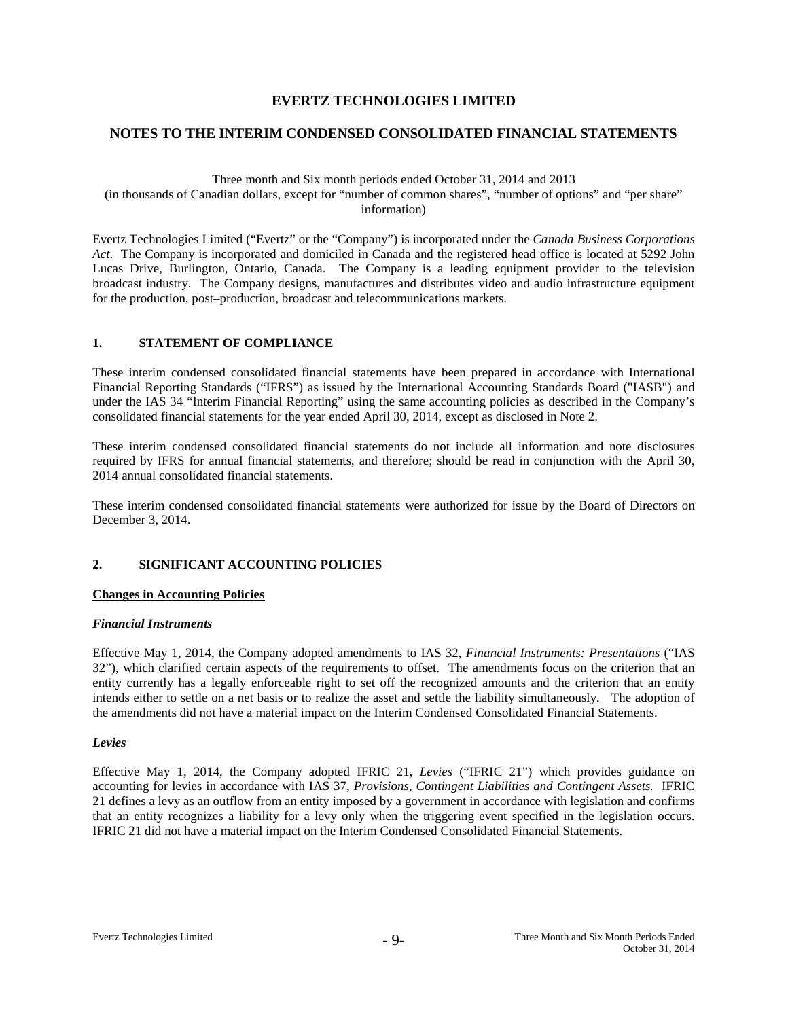#### **NOTES TO THE INTERIM CONDENSED CONSOLIDATED FINANCIAL STATEMENTS**

Three month and Six month periods ended October 31, 2014 and 2013 (in thousands of Canadian dollars, except for "number of common shares", "number of options" and "per share" information)

Evertz Technologies Limited ("Evertz" or the "Company") is incorporated under the *Canada Business Corporations Act*. The Company is incorporated and domiciled in Canada and the registered head office is located at 5292 John Lucas Drive, Burlington, Ontario, Canada. The Company is a leading equipment provider to the television broadcast industry. The Company designs, manufactures and distributes video and audio infrastructure equipment for the production, post–production, broadcast and telecommunications markets.

#### **1. STATEMENT OF COMPLIANCE**

These interim condensed consolidated financial statements have been prepared in accordance with International Financial Reporting Standards ("IFRS") as issued by the International Accounting Standards Board ("IASB") and under the IAS 34 "Interim Financial Reporting" using the same accounting policies as described in the Company's consolidated financial statements for the year ended April 30, 2014, except as disclosed in Note 2.

These interim condensed consolidated financial statements do not include all information and note disclosures required by IFRS for annual financial statements, and therefore; should be read in conjunction with the April 30, 2014 annual consolidated financial statements.

These interim condensed consolidated financial statements were authorized for issue by the Board of Directors on December 3, 2014.

#### **2. SIGNIFICANT ACCOUNTING POLICIES**

#### **Changes in Accounting Policies**

#### *Financial Instruments*

Effective May 1, 2014, the Company adopted amendments to IAS 32, *Financial Instruments: Presentations* ("IAS 32"), which clarified certain aspects of the requirements to offset. The amendments focus on the criterion that an entity currently has a legally enforceable right to set off the recognized amounts and the criterion that an entity intends either to settle on a net basis or to realize the asset and settle the liability simultaneously. The adoption of the amendments did not have a material impact on the Interim Condensed Consolidated Financial Statements.

#### *Levies*

Effective May 1, 2014, the Company adopted IFRIC 21, *Levies* ("IFRIC 21") which provides guidance on accounting for levies in accordance with IAS 37, *Provisions, Contingent Liabilities and Contingent Assets.* IFRIC 21 defines a levy as an outflow from an entity imposed by a government in accordance with legislation and confirms that an entity recognizes a liability for a levy only when the triggering event specified in the legislation occurs. IFRIC 21 did not have a material impact on the Interim Condensed Consolidated Financial Statements.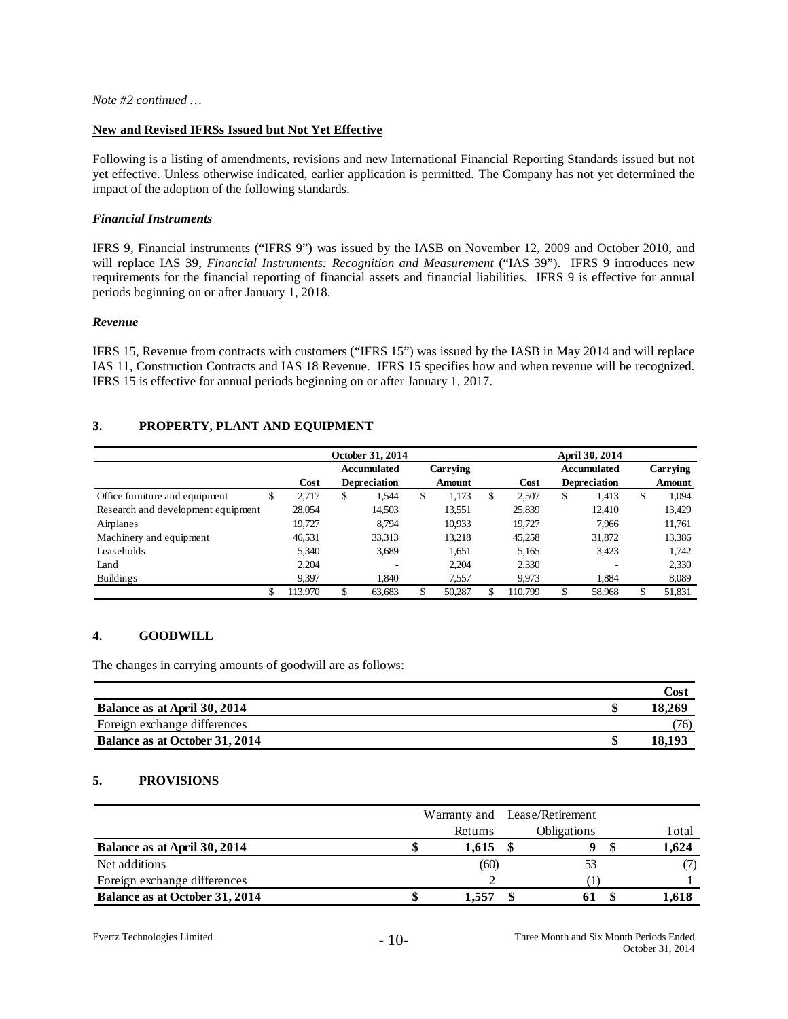#### **New and Revised IFRSs Issued but Not Yet Effective**

Following is a listing of amendments, revisions and new International Financial Reporting Standards issued but not yet effective. Unless otherwise indicated, earlier application is permitted. The Company has not yet determined the impact of the adoption of the following standards.

#### *Financial Instruments*

IFRS 9, Financial instruments ("IFRS 9") was issued by the IASB on November 12, 2009 and October 2010, and will replace IAS 39, *Financial Instruments: Recognition and Measurement* ("IAS 39"). IFRS 9 introduces new requirements for the financial reporting of financial assets and financial liabilities. IFRS 9 is effective for annual periods beginning on or after January 1, 2018.

#### *Revenue*

IFRS 15, Revenue from contracts with customers ("IFRS 15") was issued by the IASB in May 2014 and will replace IAS 11, Construction Contracts and IAS 18 Revenue. IFRS 15 specifies how and when revenue will be recognized. IFRS 15 is effective for annual periods beginning on or after January 1, 2017.

#### **3. PROPERTY, PLANT AND EQUIPMENT**

|                                    |   |         | October 31, 2014    |               | April 30, 2014 |    |                     |    |          |
|------------------------------------|---|---------|---------------------|---------------|----------------|----|---------------------|----|----------|
|                                    |   |         | Accumulated         | Carrying      |                |    | Accumulated         |    | Carrying |
|                                    |   | Cost    | <b>Depreciation</b> | <b>Amount</b> | Cost           |    | <b>Depreciation</b> |    | Amount   |
| Office furniture and equipment     | C | 2.717   | \$<br>1,544         | \$<br>1.173   | \$<br>2.507    | \$ | 1.413               | \$ | 1,094    |
| Research and development equipment |   | 28,054  | 14,503              | 13,551        | 25,839         |    | 12.410              |    | 13,429   |
| Airplanes                          |   | 19.727  | 8.794               | 10,933        | 19.727         |    | 7.966               |    | 11,761   |
| Machinery and equipment            |   | 46,531  | 33,313              | 13,218        | 45,258         |    | 31,872              |    | 13,386   |
| Leaseholds                         |   | 5.340   | 3,689               | 1,651         | 5,165          |    | 3.423               |    | 1.742    |
| Land                               |   | 2.204   |                     | 2,204         | 2,330          |    |                     |    | 2,330    |
| <b>Buildings</b>                   |   | 9,397   | 1.840               | 7,557         | 9,973          |    | 1,884               |    | 8,089    |
|                                    |   | 113,970 | 63,683              | 50,287        | 110,799        | \$ | 58,968              |    | 51,831   |

#### **4. GOODWILL**

The changes in carrying amounts of goodwill are as follows:

|                                | Cost   |
|--------------------------------|--------|
| Balance as at April 30, 2014   | 18.269 |
| Foreign exchange differences   | (76)   |
| Balance as at October 31, 2014 |        |

#### **5. PROVISIONS**

|                                |         | Warranty and Lease/Retirement |       |
|--------------------------------|---------|-------------------------------|-------|
|                                | Returns | Obligations                   | Total |
| Balance as at April 30, 2014   | 1,615   |                               | 1,624 |
| Net additions                  | (60)    | 53                            |       |
| Foreign exchange differences   |         |                               |       |
| Balance as at October 31, 2014 | 1.557   |                               |       |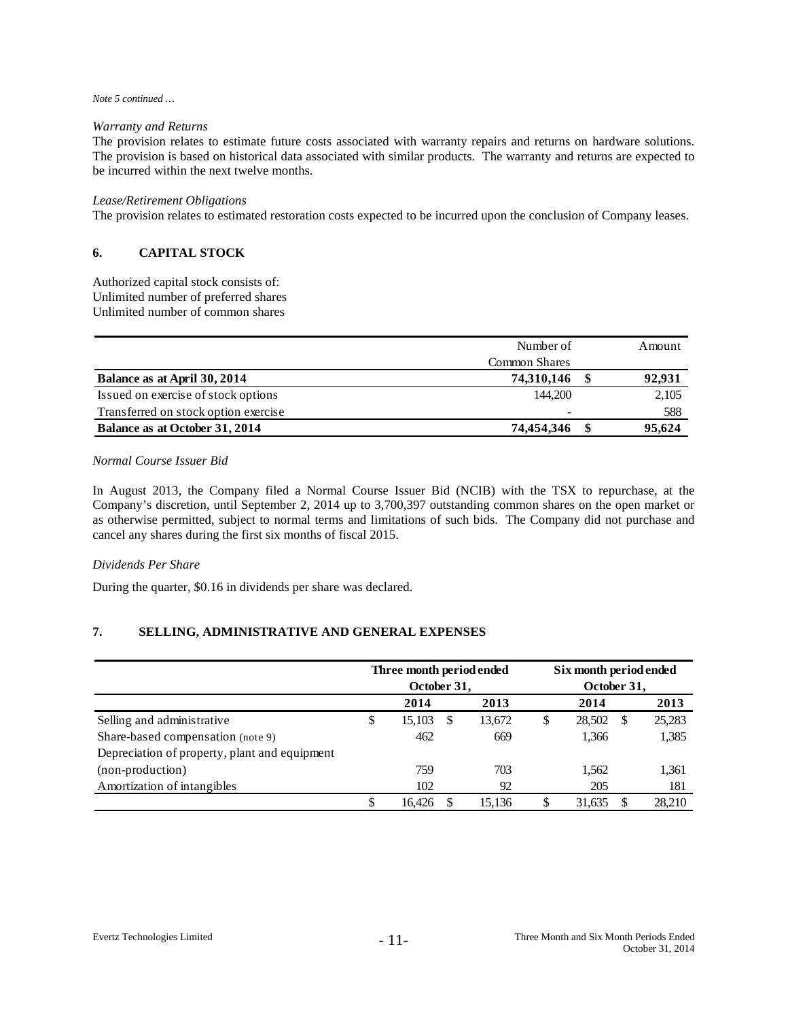#### *Note 5 continued …*

#### *Warranty and Returns*

The provision relates to estimate future costs associated with warranty repairs and returns on hardware solutions. The provision is based on historical data associated with similar products. The warranty and returns are expected to be incurred within the next twelve months.

#### *Lease/Retirement Obligations*

The provision relates to estimated restoration costs expected to be incurred upon the conclusion of Company leases.

#### **6. CAPITAL STOCK**

Authorized capital stock consists of: Unlimited number of preferred shares Unlimited number of common shares

|                                      | Number of                | Amount |
|--------------------------------------|--------------------------|--------|
|                                      | Common Shares            |        |
| Balance as at April 30, 2014         | 74,310,146               | 92,931 |
| Issued on exercise of stock options  | 144,200                  | 2,105  |
| Transferred on stock option exercise | $\overline{\phantom{0}}$ | 588    |
| Balance as at October 31, 2014       | 74,454,346               | 95,624 |

#### *Normal Course Issuer Bid*

In August 2013, the Company filed a Normal Course Issuer Bid (NCIB) with the TSX to repurchase, at the Company's discretion, until September 2, 2014 up to 3,700,397 outstanding common shares on the open market or as otherwise permitted, subject to normal terms and limitations of such bids. The Company did not purchase and cancel any shares during the first six months of fiscal 2015.

#### *Dividends Per Share*

During the quarter, \$0.16 in dividends per share was declared.

#### **7. SELLING, ADMINISTRATIVE AND GENERAL EXPENSES**

|                                               |    | Three month period ended<br>October 31, |   |        | Six month period ended<br>October 31, |        |   |        |  |
|-----------------------------------------------|----|-----------------------------------------|---|--------|---------------------------------------|--------|---|--------|--|
|                                               |    | 2014                                    |   | 2013   |                                       | 2014   |   | 2013   |  |
| Selling and administrative                    | S  | 15,103                                  | S | 13,672 | \$                                    | 28,502 | S | 25,283 |  |
| Share-based compensation (note 9)             |    | 462                                     |   | 669    |                                       | 1,366  |   | 1,385  |  |
| Depreciation of property, plant and equipment |    |                                         |   |        |                                       |        |   |        |  |
| (non-production)                              |    | 759                                     |   | 703    |                                       | 1,562  |   | 1,361  |  |
| Amortization of intangibles                   |    | 102                                     |   | 92     |                                       | 205    |   | 181    |  |
|                                               | \$ | 16.426                                  | S | 15.136 | S                                     | 31.635 |   | 28.210 |  |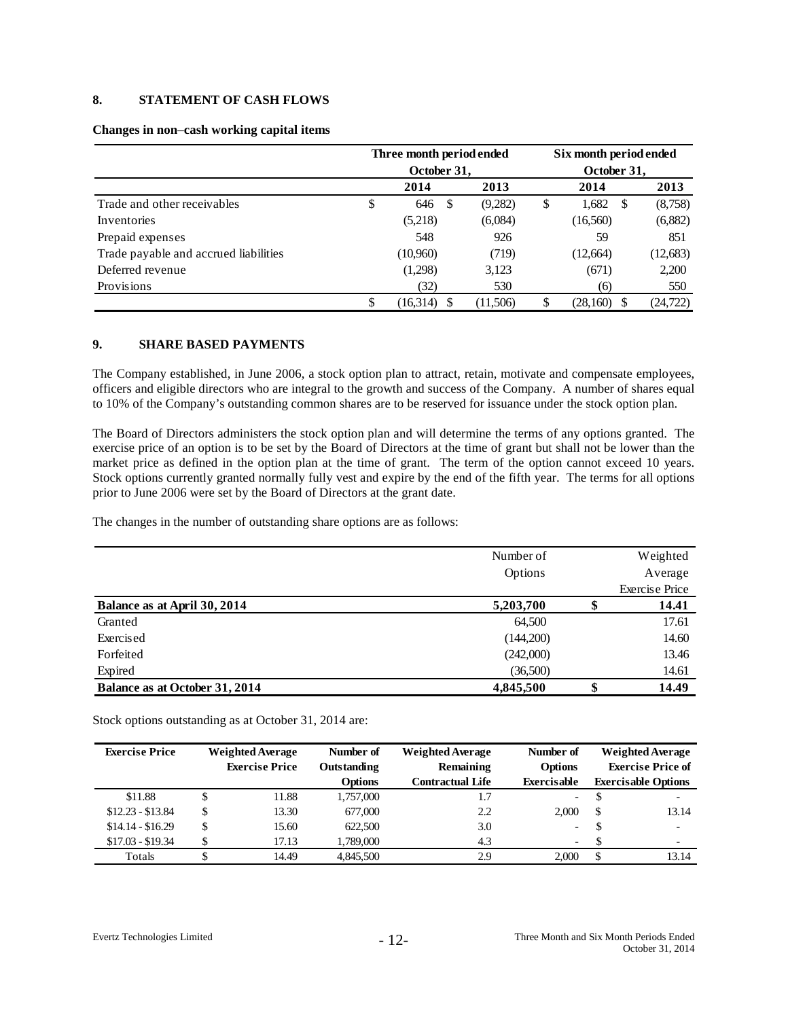#### **8. STATEMENT OF CASH FLOWS**

|                                       | Three month period ended<br>October 31, |    |          |    | Six month period ended<br>October 31, |    |           |
|---------------------------------------|-----------------------------------------|----|----------|----|---------------------------------------|----|-----------|
|                                       | 2014                                    |    | 2013     |    | 2014                                  |    | 2013      |
| Trade and other receivables           | \$<br>646                               | -S | (9,282)  | \$ | 1,682                                 | -S | (8,758)   |
| Inventories                           | (5,218)                                 |    | (6,084)  |    | (16, 560)                             |    | (6,882)   |
| Prepaid expenses                      | 548                                     |    | 926      |    | 59                                    |    | 851       |
| Trade payable and accrued liabilities | (10,960)                                |    | (719)    |    | (12,664)                              |    | (12, 683) |
| Deferred revenue                      | (1,298)                                 |    | 3,123    |    | (671)                                 |    | 2,200     |
| Provisions                            | (32)                                    |    | 530      |    | (6)                                   |    | 550       |
|                                       | \$<br>(16,314)                          |    | (11,506) | S  | (28,160)                              |    | (24,722)  |

#### **Changes in non**–**cash working capital items**

#### **9. SHARE BASED PAYMENTS**

The Company established, in June 2006, a stock option plan to attract, retain, motivate and compensate employees, officers and eligible directors who are integral to the growth and success of the Company. A number of shares equal to 10% of the Company's outstanding common shares are to be reserved for issuance under the stock option plan.

The Board of Directors administers the stock option plan and will determine the terms of any options granted. The exercise price of an option is to be set by the Board of Directors at the time of grant but shall not be lower than the market price as defined in the option plan at the time of grant. The term of the option cannot exceed 10 years. Stock options currently granted normally fully vest and expire by the end of the fifth year. The terms for all options prior to June 2006 were set by the Board of Directors at the grant date.

The changes in the number of outstanding share options are as follows:

|                                | Number of<br>Options |        | Weighted<br>Average            |
|--------------------------------|----------------------|--------|--------------------------------|
| Balance as at April 30, 2014   | 5,203,700            |        | <b>Exercise Price</b><br>14.41 |
|                                |                      | ۰P     |                                |
| Granted                        | 64,500               |        | 17.61                          |
| Exercised                      | (144,200)            |        | 14.60                          |
| Forfeited                      | (242,000)            |        | 13.46                          |
| Expired                        | (36,500)             |        | 14.61                          |
| Balance as at October 31, 2014 | 4,845,500            | ¢<br>Φ | 14.49                          |

Stock options outstanding as at October 31, 2014 are:

| <b>Exercise Price</b> | <b>Weighted Average</b> | Number of      | <b>Weighted Average</b> | Number of                |   | <b>Weighted Average</b>    |
|-----------------------|-------------------------|----------------|-------------------------|--------------------------|---|----------------------------|
|                       | <b>Exercise Price</b>   | Outstanding    | Remaining               | <b>Options</b>           |   | <b>Exercise Price of</b>   |
|                       |                         | <b>Options</b> | <b>Contractual Life</b> | Exercisable              |   | <b>Exercisable Options</b> |
| \$11.88               | 11.88                   | 1,757,000      | 1.7                     | $\blacksquare$           |   | $\overline{\phantom{0}}$   |
| $$12.23 - $13.84$     | \$<br>13.30             | 677,000        | 2.2                     | 2.000                    | S | 13.14                      |
| $$14.14 - $16.29$     | \$<br>15.60             | 622,500        | 3.0                     |                          |   | $\overline{\phantom{0}}$   |
| $$17.03 - $19.34$     | 17.13                   | 1,789,000      | 4.3                     | $\overline{\phantom{0}}$ |   | $\overline{\phantom{0}}$   |
| Totals                | 14.49                   | 4,845,500      | 2.9                     | 2.000                    |   | 13.14                      |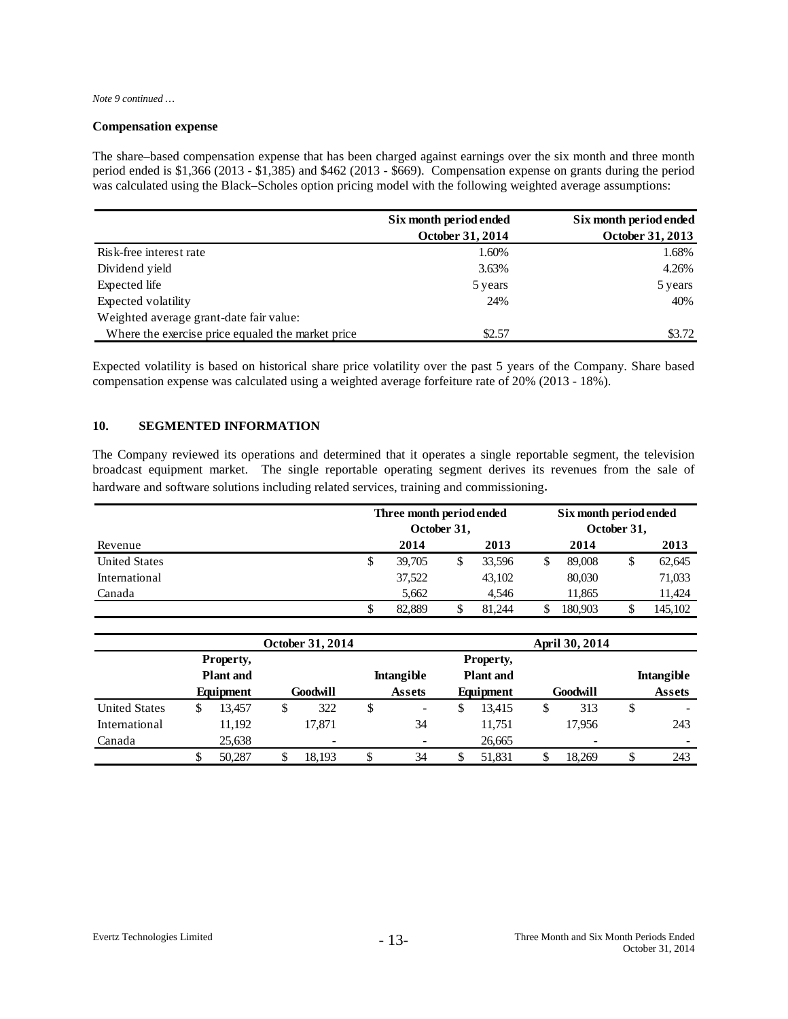*Note 9 continued …*

#### **Compensation expense**

The share–based compensation expense that has been charged against earnings over the six month and three month period ended is \$1,366 (2013 - \$1,385) and \$462 (2013 - \$669). Compensation expense on grants during the period was calculated using the Black–Scholes option pricing model with the following weighted average assumptions:

|                                                   | Six month period ended | Six month period ended |
|---------------------------------------------------|------------------------|------------------------|
|                                                   | October 31, 2014       | October 31, 2013       |
| Risk-free interest rate                           | 1.60%                  | 1.68%                  |
| Dividend yield                                    | 3.63%                  | 4.26%                  |
| Expected life                                     | 5 years                | 5 years                |
| Expected volatility                               | 24%                    | 40%                    |
| Weighted average grant-date fair value:           |                        |                        |
| Where the exercise price equaled the market price | \$2.57                 | \$3.72                 |

Expected volatility is based on historical share price volatility over the past 5 years of the Company. Share based compensation expense was calculated using a weighted average forfeiture rate of 20% (2013 - 18%).

#### **10. SEGMENTED INFORMATION**

The Company reviewed its operations and determined that it operates a single reportable segment, the television broadcast equipment market. The single reportable operating segment derives its revenues from the sale of hardware and software solutions including related services, training and commissioning.

|                      | Three month period ended<br>October 31, |        |  |        | Six month period ended<br>October 31, |         |    |         |
|----------------------|-----------------------------------------|--------|--|--------|---------------------------------------|---------|----|---------|
| Revenue              |                                         | 2014   |  | 2013   |                                       | 2014    |    | 2013    |
| <b>United States</b> | \$                                      | 39,705 |  | 33,596 | \$                                    | 89,008  | \$ | 62,645  |
| International        |                                         | 37,522 |  | 43,102 |                                       | 80,030  |    | 71,033  |
| Canada               |                                         | 5.662  |  | 4.546  |                                       | 11.865  |    | 11,424  |
|                      | S                                       | 82.889 |  | 81.244 |                                       | 180,903 |    | 145,102 |

|                      |                  |           |  | October 31, 2014         |    |                                       |   | April 30, 2014 |    |                 |  |                   |  |  |
|----------------------|------------------|-----------|--|--------------------------|----|---------------------------------------|---|----------------|----|-----------------|--|-------------------|--|--|
|                      | Property,        |           |  |                          |    |                                       |   | Property,      |    |                 |  |                   |  |  |
|                      | <b>Plant</b> and |           |  |                          |    | <b>Plant</b> and<br><b>Intangible</b> |   |                |    |                 |  | <b>Intangible</b> |  |  |
|                      |                  | Equipment |  | Goodwill                 |    | <b>Assets</b>                         |   | Equipment      |    | Goodwill        |  | <b>Assets</b>     |  |  |
| <b>United States</b> |                  | 13.457    |  | 322                      | \$ | ۰                                     | S | 13,415         | \$ | 313             |  |                   |  |  |
| International        |                  | 11,192    |  | 17.871                   |    | 34                                    |   | 11,751         |    | 17.956          |  | 243               |  |  |
| Canada               |                  | 25,638    |  | $\overline{\phantom{0}}$ |    |                                       |   | 26,665         |    | $\qquad \qquad$ |  | -                 |  |  |
|                      |                  | 50,287    |  | 18.193                   |    | 34                                    |   | 51,831         |    | 18.269          |  | 243               |  |  |